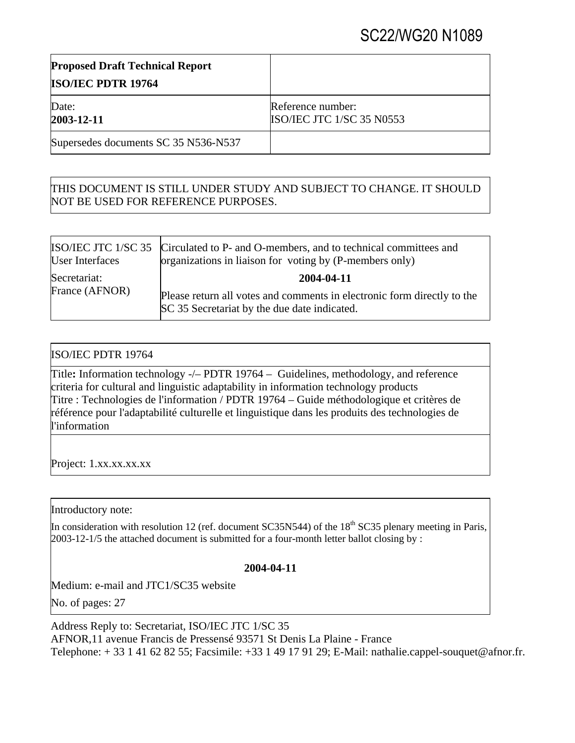# SC22/WG20 N1089

| <b>Proposed Draft Technical Report</b><br><b>ISO/IEC PDTR 19764</b> |                                                       |
|---------------------------------------------------------------------|-------------------------------------------------------|
| Date:<br>2003-12-11                                                 | Reference number:<br><b>ISO/IEC JTC 1/SC 35 N0553</b> |
| Supersedes documents SC 35 N536-N537                                |                                                       |

## THIS DOCUMENT IS STILL UNDER STUDY AND SUBJECT TO CHANGE. IT SHOULD NOT BE USED FOR REFERENCE PURPOSES.

| <b>User Interfaces</b> | ISO/IEC JTC 1/SC 35 Circulated to P- and O-members, and to technical committees and<br>organizations in liaison for voting by (P-members only) |
|------------------------|------------------------------------------------------------------------------------------------------------------------------------------------|
| Secretariat:           | 2004-04-11                                                                                                                                     |
| France (AFNOR)         | Please return all votes and comments in electronic form directly to the<br>SC 35 Secretariat by the due date indicated.                        |

## ISO/IEC PDTR 19764

Title**:** Information technology -/– PDTR 19764 –Guidelines, methodology, and reference criteria for cultural and linguistic adaptability in information technology products Titre : Technologies de l'information / PDTR 19764 – Guide méthodologique et critères de référence pour l'adaptabilité culturelle et linguistique dans les produits des technologies de l'information

Project: 1.xx.xx.xx.xx

Introductory note:

In consideration with resolution 12 (ref. document SC35N544) of the  $18<sup>th</sup>$  SC35 plenary meeting in Paris, 2003-12-1/5 the attached document is submitted for a four-month letter ballot closing by :

### **2004-04-11**

Medium: e-mail and JTC1/SC35 website

No. of pages: 27

Address Reply to: Secretariat, ISO/IEC JTC 1/SC 35 AFNOR,11 avenue Francis de Pressensé 93571 St Denis La Plaine - France Telephone: + 33 1 41 62 82 55; Facsimile: +33 1 49 17 91 29; E-Mail: nathalie.cappel-souquet@afnor.fr.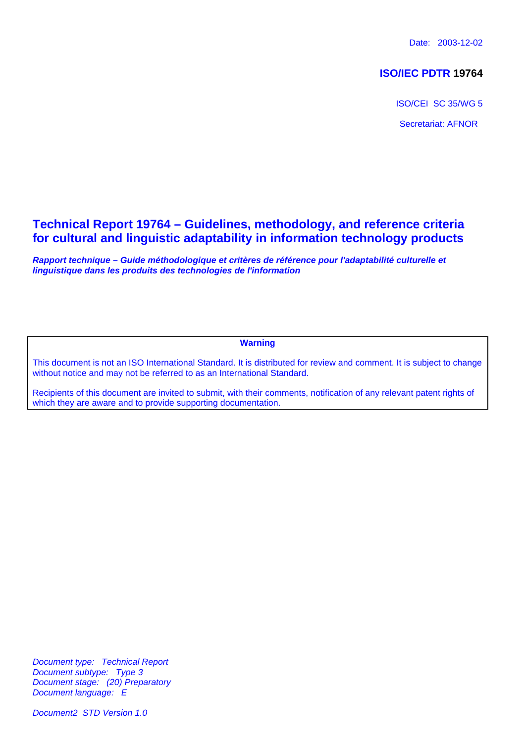Date: 2003-12-02

## **ISO/IEC PDTR 19764**

ISO/CEI SC 35/WG 5 Secretariat: AFNOR

## **Technical Report 19764 – Guidelines, methodology, and reference criteria for cultural and linguistic adaptability in information technology products**

*Rapport technique – Guide méthodologique et critères de référence pour l'adaptabilité culturelle et linguistique dans les produits des technologies de l'information*

**Warning**

This document is not an ISO International Standard. It is distributed for review and comment. It is subject to change without notice and may not be referred to as an International Standard.

Recipients of this document are invited to submit, with their comments, notification of any relevant patent rights of which they are aware and to provide supporting documentation.

*Document type: Technical Report Document subtype: Type 3 Document stage: (20) Preparatory Document language: E*

*Document2 STD Version 1.0*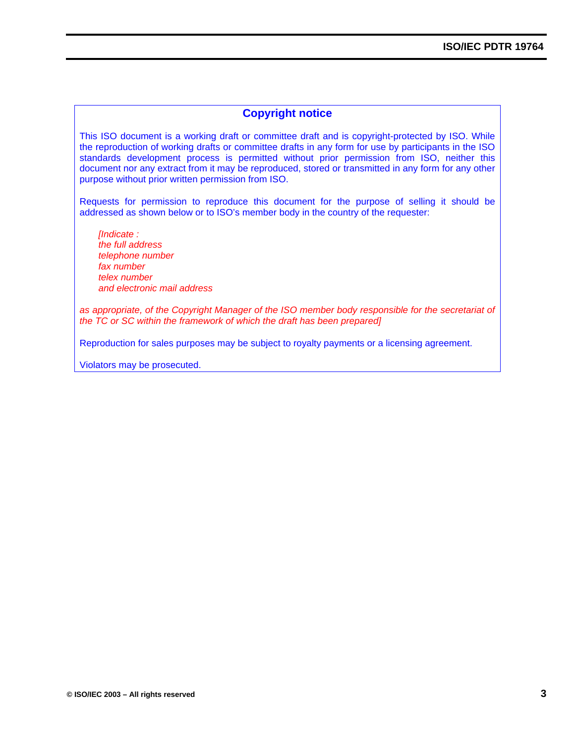### **Copyright notice**

This ISO document is a working draft or committee draft and is copyright-protected by ISO. While the reproduction of working drafts or committee drafts in any form for use by participants in the ISO standards development process is permitted without prior permission from ISO, neither this document nor any extract from it may be reproduced, stored or transmitted in any form for any other purpose without prior written permission from ISO.

Requests for permission to reproduce this document for the purpose of selling it should be addressed as shown below or to ISO's member body in the country of the requester:

*[Indicate : the full address telephone number fax number telex number and electronic mail address*

*as appropriate, of the Copyright Manager of the ISO member body responsible for the secretariat of the TC or SC within the framework of which the draft has been prepared]*

Reproduction for sales purposes may be subject to royalty payments or a licensing agreement.

Violators may be prosecuted.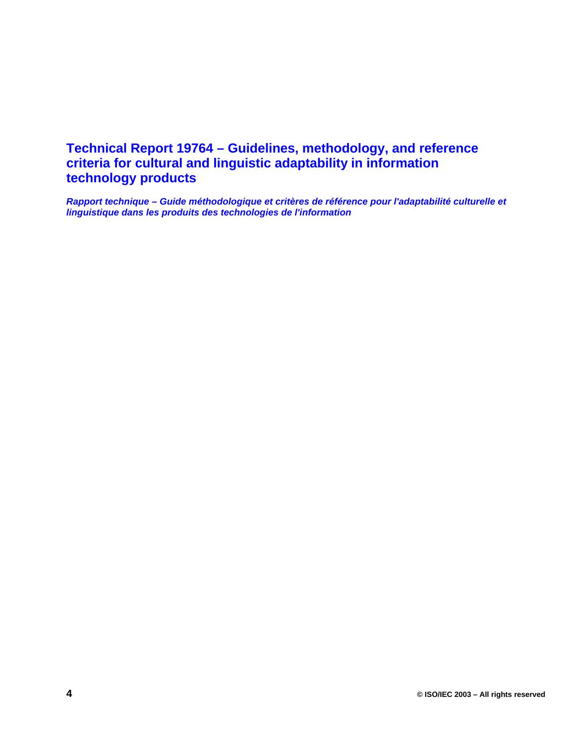## **Technical Report 19764 – Guidelines, methodology, and reference criteria for cultural and linguistic adaptability in information technology products**

*Rapport technique – Guide méthodologique et critères de référence pour l'adaptabilité culturelle et linguistique dans les produits des technologies de l'information*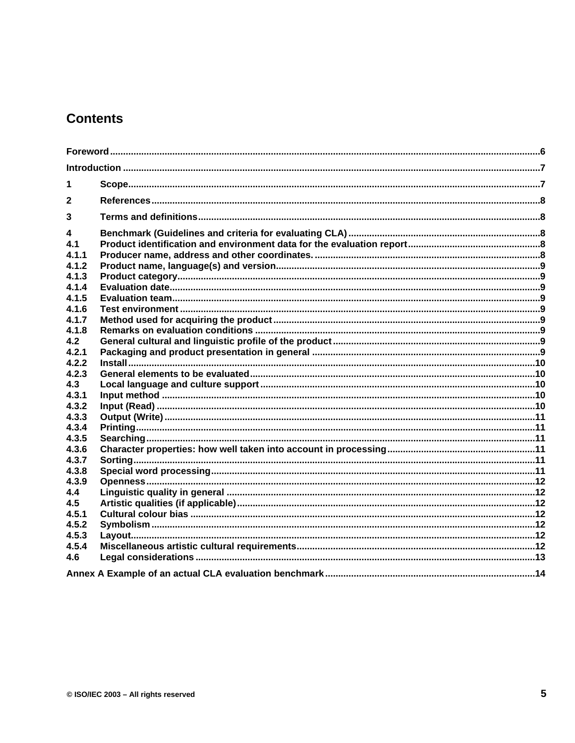## **Contents**

| 1            |  |
|--------------|--|
| $\mathbf{2}$ |  |
| 3            |  |
| 4            |  |
| 4.1          |  |
| 4.1.1        |  |
| 4.1.2        |  |
| 4.1.3        |  |
| 4.1.4        |  |
| 4.1.5        |  |
| 4.1.6        |  |
| 4.1.7        |  |
| 4.1.8        |  |
| 4.2          |  |
| 4.2.1        |  |
| 4.2.2        |  |
| 4.2.3        |  |
| 4.3          |  |
| 4.3.1        |  |
| 4.3.2        |  |
| 4.3.3        |  |
| 4.3.4        |  |
| 4.3.5        |  |
| 4.3.6        |  |
| 4.3.7        |  |
| 4.3.8        |  |
| 4.3.9        |  |
| 4.4          |  |
| 4.5          |  |
| 4.5.1        |  |
| 4.5.2        |  |
| 4.5.3        |  |
| 4.5.4        |  |
| 4.6          |  |
|              |  |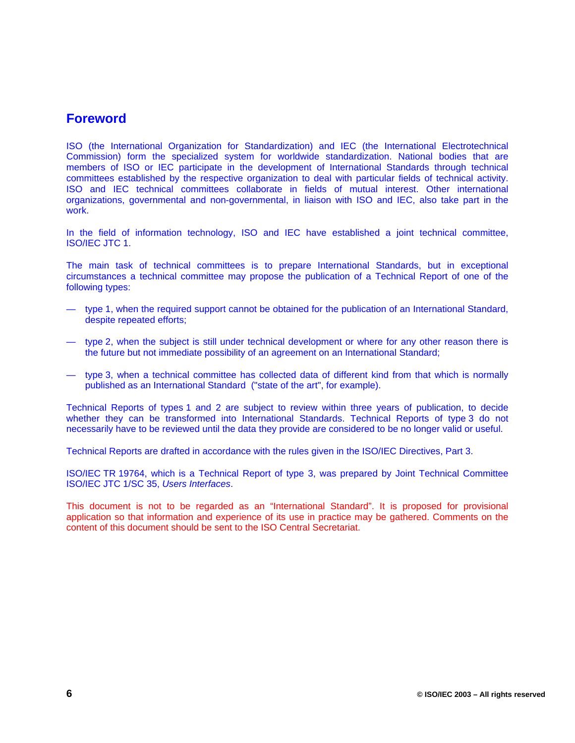## **Foreword**

ISO (the International Organization for Standardization) and IEC (the International Electrotechnical Commission) form the specialized system for worldwide standardization. National bodies that are members of ISO or IEC participate in the development of International Standards through technical committees established by the respective organization to deal with particular fields of technical activity. ISO and IEC technical committees collaborate in fields of mutual interest. Other international organizations, governmental and non-governmental, in liaison with ISO and IEC, also take part in the work.

In the field of information technology, ISO and IEC have established a joint technical committee, ISO/IEC JTC 1.

The main task of technical committees is to prepare International Standards, but in exceptional circumstances a technical committee may propose the publication of a Technical Report of one of the following types:

- type 1, when the required support cannot be obtained for the publication of an International Standard, despite repeated efforts;
- type 2, when the subject is still under technical development or where for any other reason there is the future but not immediate possibility of an agreement on an International Standard;
- type 3, when a technical committee has collected data of different kind from that which is normally published as an International Standard ("state of the art", for example).

Technical Reports of types 1 and 2 are subject to review within three years of publication, to decide whether they can be transformed into International Standards. Technical Reports of type 3 do not necessarily have to be reviewed until the data they provide are considered to be no longer valid or useful.

Technical Reports are drafted in accordance with the rules given in the ISO/IEC Directives, Part 3.

ISO/IEC TR 19764, which is a Technical Report of type 3, was prepared by Joint Technical Committee ISO/IEC JTC 1/SC 35, *Users Interfaces*.

This document is not to be regarded as an "International Standard". It is proposed for provisional application so that information and experience of its use in practice may be gathered. Comments on the content of this document should be sent to the ISO Central Secretariat.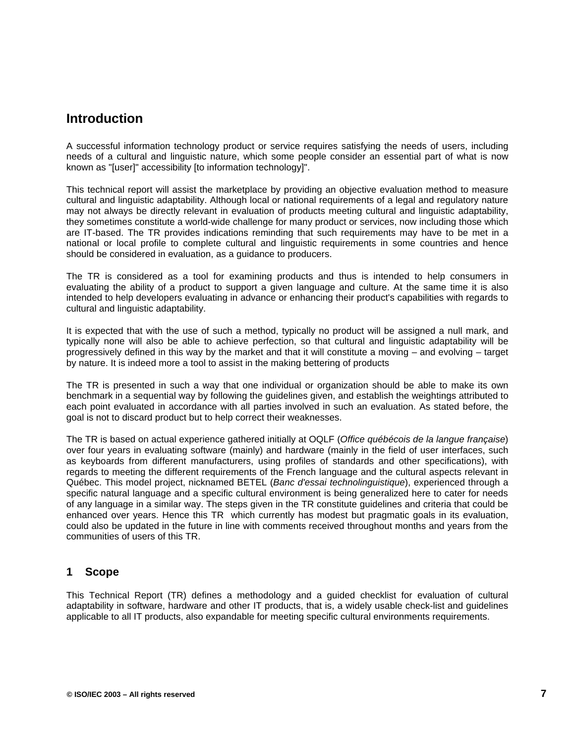## **Introduction**

A successful information technology product or service requires satisfying the needs of users, including needs of a cultural and linguistic nature, which some people consider an essential part of what is now known as "[user]" accessibility [to information technology]".

This technical report will assist the marketplace by providing an objective evaluation method to measure cultural and linguistic adaptability. Although local or national requirements of a legal and regulatory nature may not always be directly relevant in evaluation of products meeting cultural and linguistic adaptability, they sometimes constitute a world-wide challenge for many product or services, now including those which are IT-based. The TR provides indications reminding that such requirements may have to be met in a national or local profile to complete cultural and linguistic requirements in some countries and hence should be considered in evaluation, as a guidance to producers.

The TR is considered as a tool for examining products and thus is intended to help consumers in evaluating the ability of a product to support a given language and culture. At the same time it is also intended to help developers evaluating in advance or enhancing their product's capabilities with regards to cultural and linguistic adaptability.

It is expected that with the use of such a method, typically no product will be assigned a null mark, and typically none will also be able to achieve perfection, so that cultural and linguistic adaptability will be progressively defined in this way by the market and that it will constitute a moving – and evolving – target by nature. It is indeed more a tool to assist in the making bettering of products

The TR is presented in such a way that one individual or organization should be able to make its own benchmark in a sequential way by following the guidelines given, and establish the weightings attributed to each point evaluated in accordance with all parties involved in such an evaluation. As stated before, the goal is not to discard product but to help correct their weaknesses.

The TR is based on actual experience gathered initially at OQLF (*Office québécois de la langue française*) over four years in evaluating software (mainly) and hardware (mainly in the field of user interfaces, such as keyboards from different manufacturers, using profiles of standards and other specifications), with regards to meeting the different requirements of the French language and the cultural aspects relevant in Québec. This model project, nicknamed BETEL (*Banc d'essai technolinguistique*), experienced through a specific natural language and a specific cultural environment is being generalized here to cater for needs of any language in a similar way. The steps given in the TR constitute guidelines and criteria that could be enhanced over years. Hence this TR which currently has modest but pragmatic goals in its evaluation, could also be updated in the future in line with comments received throughout months and years from the communities of users of this TR.

### **1 Scope**

This Technical Report (TR) defines a methodology and a guided checklist for evaluation of cultural adaptability in software, hardware and other IT products, that is, a widely usable check-list and guidelines applicable to all IT products, also expandable for meeting specific cultural environments requirements.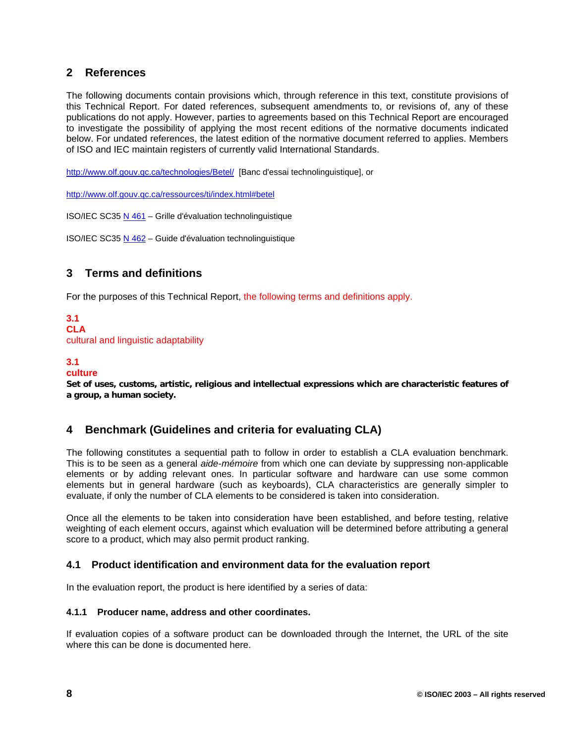## **2 References**

The following documents contain provisions which, through reference in this text, constitute provisions of this Technical Report. For dated references, subsequent amendments to, or revisions of, any of these publications do not apply. However, parties to agreements based on this Technical Report are encouraged to investigate the possibility of applying the most recent editions of the normative documents indicated below. For undated references, the latest edition of the normative document referred to applies. Members of ISO and IEC maintain registers of currently valid International Standards.

http://www.olf.gouv.qc.ca/technologies/Betel/ [Banc d'essai technolinguistique], or

http://www.olf.gouv.qc.ca/ressources/ti/index.html#betel

ISO/IEC SC35 N 461 – Grille d'évaluation technolinguistique

ISO/IEC SC35 N 462 – Guide d'évaluation technolinguistique

## **3 Terms and definitions**

For the purposes of this Technical Report, the following terms and definitions apply.

## **3.1**

**CLA** cultural and linguistic adaptability

#### **3.1**

#### **culture**

**Set of uses, customs, artistic, religious and intellectual expressions which are characteristic features of a group, a human society.**

### **4 Benchmark (Guidelines and criteria for evaluating CLA)**

The following constitutes a sequential path to follow in order to establish a CLA evaluation benchmark. This is to be seen as a general *aide-mémoire* from which one can deviate by suppressing non-applicable elements or by adding relevant ones. In particular software and hardware can use some common elements but in general hardware (such as keyboards), CLA characteristics are generally simpler to evaluate, if only the number of CLA elements to be considered is taken into consideration.

Once all the elements to be taken into consideration have been established, and before testing, relative weighting of each element occurs, against which evaluation will be determined before attributing a general score to a product, which may also permit product ranking.

#### **4.1 Product identification and environment data for the evaluation report**

In the evaluation report, the product is here identified by a series of data:

#### **4.1.1 Producer name, address and other coordinates.**

If evaluation copies of a software product can be downloaded through the Internet, the URL of the site where this can be done is documented here.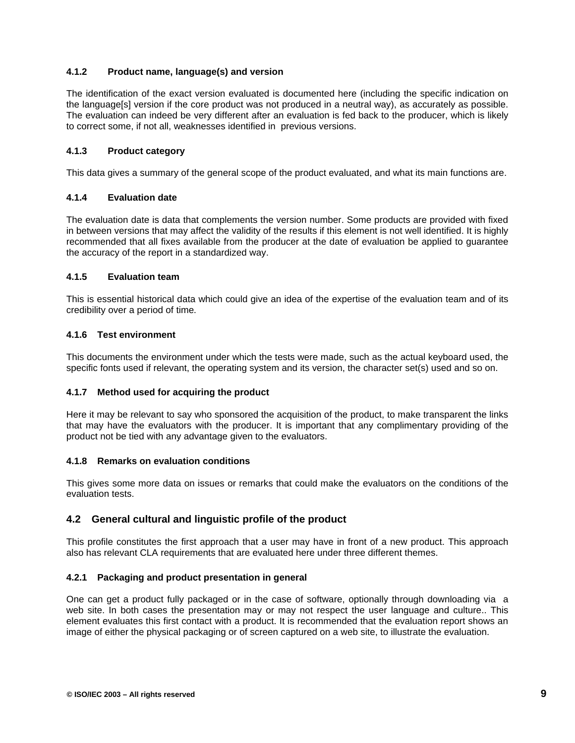#### **4.1.2 Product name, language(s) and version**

The identification of the exact version evaluated is documented here (including the specific indication on the language[s] version if the core product was not produced in a neutral way), as accurately as possible. The evaluation can indeed be very different after an evaluation is fed back to the producer, which is likely to correct some, if not all, weaknesses identified in previous versions.

#### **4.1.3 Product category**

This data gives a summary of the general scope of the product evaluated, and what its main functions are.

#### **4.1.4 Evaluation date**

The evaluation date is data that complements the version number. Some products are provided with fixed in between versions that may affect the validity of the results if this element is not well identified. It is highly recommended that all fixes available from the producer at the date of evaluation be applied to guarantee the accuracy of the report in a standardized way.

#### **4.1.5 Evaluation team**

This is essential historical data which could give an idea of the expertise of the evaluation team and of its credibility over a period of time.

#### **4.1.6 Test environment**

This documents the environment under which the tests were made, such as the actual keyboard used, the specific fonts used if relevant, the operating system and its version, the character set(s) used and so on.

#### **4.1.7 Method used for acquiring the product**

Here it may be relevant to say who sponsored the acquisition of the product, to make transparent the links that may have the evaluators with the producer. It is important that any complimentary providing of the product not be tied with any advantage given to the evaluators.

#### **4.1.8 Remarks on evaluation conditions**

This gives some more data on issues or remarks that could make the evaluators on the conditions of the evaluation tests.

#### **4.2 General cultural and linguistic profile of the product**

This profile constitutes the first approach that a user may have in front of a new product. This approach also has relevant CLA requirements that are evaluated here under three different themes.

#### **4.2.1 Packaging and product presentation in general**

One can get a product fully packaged or in the case of software, optionally through downloading via a web site. In both cases the presentation may or may not respect the user language and culture.. This element evaluates this first contact with a product. It is recommended that the evaluation report shows an image of either the physical packaging or of screen captured on a web site, to illustrate the evaluation.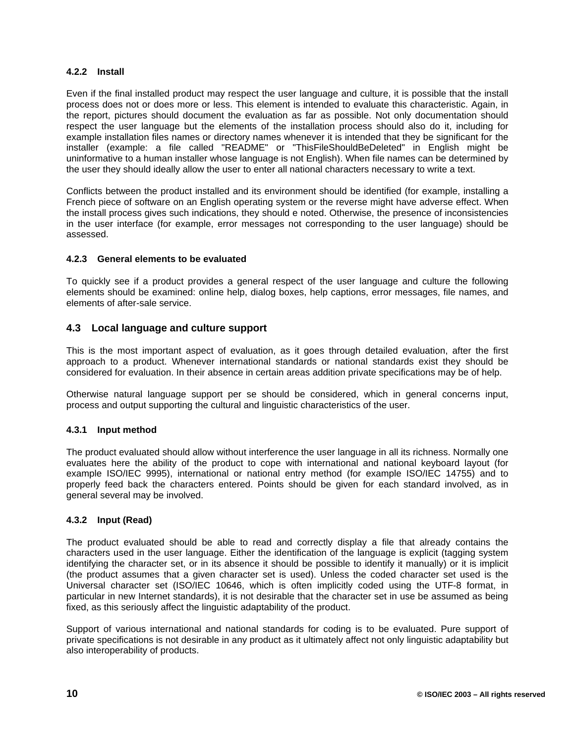#### **4.2.2 Install**

Even if the final installed product may respect the user language and culture, it is possible that the install process does not or does more or less. This element is intended to evaluate this characteristic. Again, in the report, pictures should document the evaluation as far as possible. Not only documentation should respect the user language but the elements of the installation process should also do it, including for example installation files names or directory names whenever it is intended that they be significant for the installer (example: a file called "README" or "ThisFileShouldBeDeleted" in English might be uninformative to a human installer whose language is not English). When file names can be determined by the user they should ideally allow the user to enter all national characters necessary to write a text.

Conflicts between the product installed and its environment should be identified (for example, installing a French piece of software on an English operating system or the reverse might have adverse effect. When the install process gives such indications, they should e noted. Otherwise, the presence of inconsistencies in the user interface (for example, error messages not corresponding to the user language) should be assessed.

#### **4.2.3 General elements to be evaluated**

To quickly see if a product provides a general respect of the user language and culture the following elements should be examined: online help, dialog boxes, help captions, error messages, file names, and elements of after-sale service.

#### **4.3 Local language and culture support**

This is the most important aspect of evaluation, as it goes through detailed evaluation, after the first approach to a product. Whenever international standards or national standards exist they should be considered for evaluation. In their absence in certain areas addition private specifications may be of help.

Otherwise natural language support per se should be considered, which in general concerns input, process and output supporting the cultural and linguistic characteristics of the user.

#### **4.3.1 Input method**

The product evaluated should allow without interference the user language in all its richness. Normally one evaluates here the ability of the product to cope with international and national keyboard layout (for example ISO/IEC 9995), international or national entry method (for example ISO/IEC 14755) and to properly feed back the characters entered. Points should be given for each standard involved, as in general several may be involved.

#### **4.3.2 Input (Read)**

The product evaluated should be able to read and correctly display a file that already contains the characters used in the user language. Either the identification of the language is explicit (tagging system identifying the character set, or in its absence it should be possible to identify it manually) or it is implicit (the product assumes that a given character set is used). Unless the coded character set used is the Universal character set (ISO/IEC 10646, which is often implicitly coded using the UTF-8 format, in particular in new Internet standards), it is not desirable that the character set in use be assumed as being fixed, as this seriously affect the linguistic adaptability of the product.

Support of various international and national standards for coding is to be evaluated. Pure support of private specifications is not desirable in any product as it ultimately affect not only linguistic adaptability but also interoperability of products.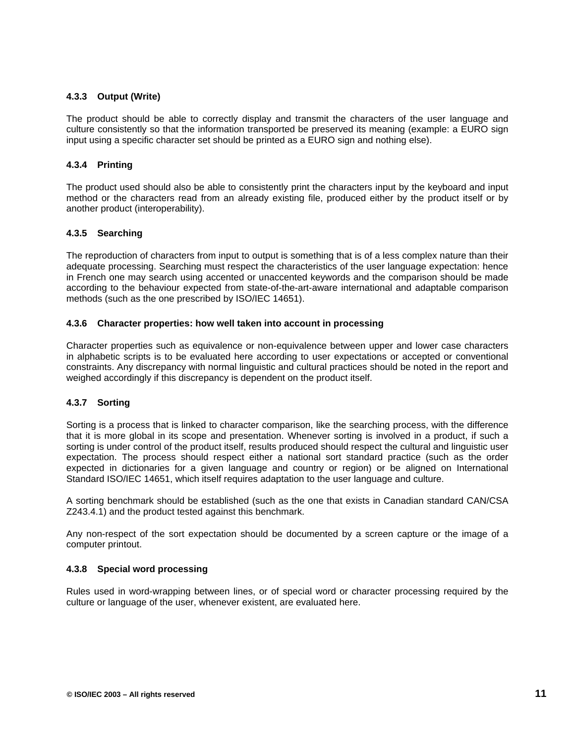#### **4.3.3 Output (Write)**

The product should be able to correctly display and transmit the characters of the user language and culture consistently so that the information transported be preserved its meaning (example: a EURO sign input using a specific character set should be printed as a EURO sign and nothing else).

#### **4.3.4 Printing**

The product used should also be able to consistently print the characters input by the keyboard and input method or the characters read from an already existing file, produced either by the product itself or by another product (interoperability).

#### **4.3.5 Searching**

The reproduction of characters from input to output is something that is of a less complex nature than their adequate processing. Searching must respect the characteristics of the user language expectation: hence in French one may search using accented or unaccented keywords and the comparison should be made according to the behaviour expected from state-of-the-art-aware international and adaptable comparison methods (such as the one prescribed by ISO/IEC 14651).

#### **4.3.6 Character properties: how well taken into account in processing**

Character properties such as equivalence or non-equivalence between upper and lower case characters in alphabetic scripts is to be evaluated here according to user expectations or accepted or conventional constraints. Any discrepancy with normal linguistic and cultural practices should be noted in the report and weighed accordingly if this discrepancy is dependent on the product itself.

#### **4.3.7 Sorting**

Sorting is a process that is linked to character comparison, like the searching process, with the difference that it is more global in its scope and presentation. Whenever sorting is involved in a product, if such a sorting is under control of the product itself, results produced should respect the cultural and linguistic user expectation. The process should respect either a national sort standard practice (such as the order expected in dictionaries for a given language and country or region) or be aligned on International Standard ISO/IEC 14651, which itself requires adaptation to the user language and culture.

A sorting benchmark should be established (such as the one that exists in Canadian standard CAN/CSA Z243.4.1) and the product tested against this benchmark.

Any non-respect of the sort expectation should be documented by a screen capture or the image of a computer printout.

#### **4.3.8 Special word processing**

Rules used in word-wrapping between lines, or of special word or character processing required by the culture or language of the user, whenever existent, are evaluated here.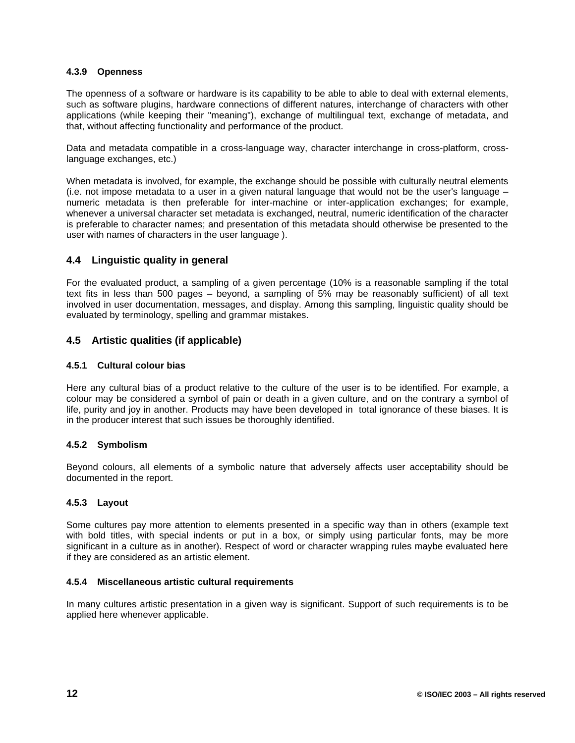#### **4.3.9 Openness**

The openness of a software or hardware is its capability to be able to able to deal with external elements, such as software plugins, hardware connections of different natures, interchange of characters with other applications (while keeping their "meaning"), exchange of multilingual text, exchange of metadata, and that, without affecting functionality and performance of the product.

Data and metadata compatible in a cross-language way, character interchange in cross-platform, crosslanguage exchanges, etc.)

When metadata is involved, for example, the exchange should be possible with culturally neutral elements (i.e. not impose metadata to a user in a given natural language that would not be the user's language – numeric metadata is then preferable for inter-machine or inter-application exchanges; for example, whenever a universal character set metadata is exchanged, neutral, numeric identification of the character is preferable to character names; and presentation of this metadata should otherwise be presented to the user with names of characters in the user language ).

#### **4.4 Linguistic quality in general**

For the evaluated product, a sampling of a given percentage (10% is a reasonable sampling if the total text fits in less than 500 pages – beyond, a sampling of 5% may be reasonably sufficient) of all text involved in user documentation, messages, and display. Among this sampling, linguistic quality should be evaluated by terminology, spelling and grammar mistakes.

### **4.5 Artistic qualities (if applicable)**

#### **4.5.1 Cultural colour bias**

Here any cultural bias of a product relative to the culture of the user is to be identified. For example, a colour may be considered a symbol of pain or death in a given culture, and on the contrary a symbol of life, purity and joy in another. Products may have been developed in total ignorance of these biases. It is in the producer interest that such issues be thoroughly identified.

#### **4.5.2 Symbolism**

Beyond colours, all elements of a symbolic nature that adversely affects user acceptability should be documented in the report.

#### **4.5.3 Layout**

Some cultures pay more attention to elements presented in a specific way than in others (example text with bold titles, with special indents or put in a box, or simply using particular fonts, may be more significant in a culture as in another). Respect of word or character wrapping rules maybe evaluated here if they are considered as an artistic element.

#### **4.5.4 Miscellaneous artistic cultural requirements**

In many cultures artistic presentation in a given way is significant. Support of such requirements is to be applied here whenever applicable.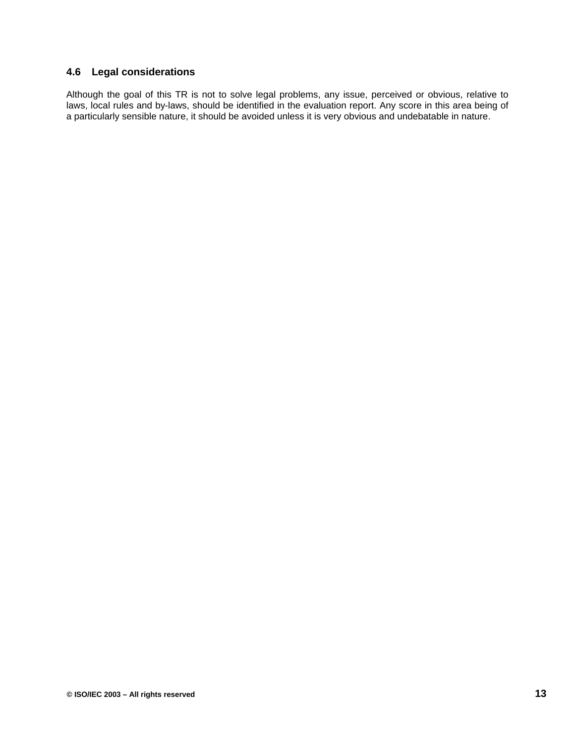### **4.6 Legal considerations**

Although the goal of this TR is not to solve legal problems, any issue, perceived or obvious, relative to laws, local rules and by-laws, should be identified in the evaluation report. Any score in this area being of a particularly sensible nature, it should be avoided unless it is very obvious and undebatable in nature.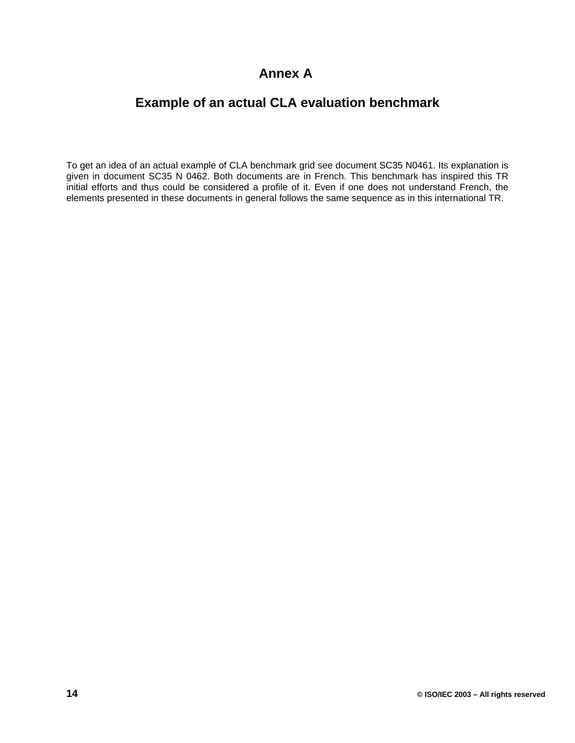## **Annex A**

## **Example of an actual CLA evaluation benchmark**

To get an idea of an actual example of CLA benchmark grid see document SC35 N0461. Its explanation is given in document SC35 N 0462. Both documents are in French. This benchmark has inspired this TR initial efforts and thus could be considered a profile of it. Even if one does not understand French, the elements presented in these documents in general follows the same sequence as in this international TR.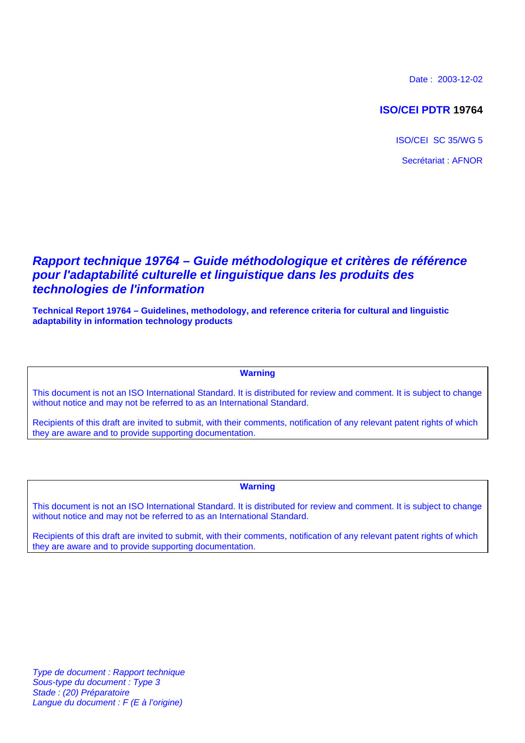Date : 2003-12-02

## **ISO/CEI PDTR 19764**

ISO/CEI SC 35/WG 5 Secrétariat : AFNOR

## *Rapport technique 19764 – Guide méthodologique et critères de référence pour l'adaptabilité culturelle et linguistique dans les produits des technologies de l'information*

**Technical Report 19764 – Guidelines, methodology, and reference criteria for cultural and linguistic adaptability in information technology products**

### **Warning**

This document is not an ISO International Standard. It is distributed for review and comment. It is subject to change without notice and may not be referred to as an International Standard.

Recipients of this draft are invited to submit, with their comments, notification of any relevant patent rights of which they are aware and to provide supporting documentation.

#### **Warning**

This document is not an ISO International Standard. It is distributed for review and comment. It is subject to change without notice and may not be referred to as an International Standard.

Recipients of this draft are invited to submit, with their comments, notification of any relevant patent rights of which they are aware and to provide supporting documentation.

*Type de document : Rapport technique Sous-type du document : Type 3 Stade : (20) Préparatoire Langue du document : F (E à l'origine)*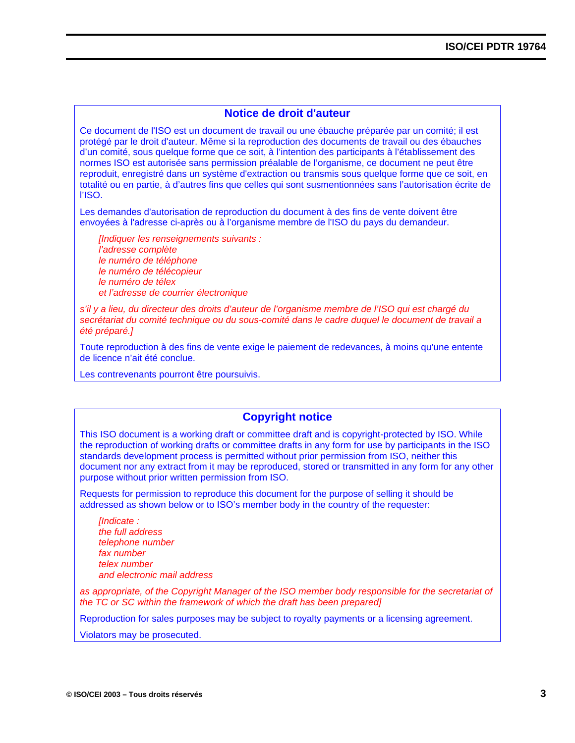### **Notice de droit d'auteur**

Ce document de l'ISO est un document de travail ou une ébauche préparée par un comité; il est protégé par le droit d'auteur. Même si la reproduction des documents de travail ou des ébauches d'un comité, sous quelque forme que ce soit, à l'intention des participants à l'établissement des normes ISO est autorisée sans permission préalable de l'organisme, ce document ne peut être reproduit, enregistré dans un système d'extraction ou transmis sous quelque forme que ce soit, en totalité ou en partie, à d'autres fins que celles qui sont susmentionnées sans l'autorisation écrite de l'ISO.

Les demandes d'autorisation de reproduction du document à des fins de vente doivent être envoyées à l'adresse ci-après ou à l'organisme membre de l'ISO du pays du demandeur.

*[Indiquer les renseignements suivants : l'adresse complète le numéro de téléphone le numéro de télécopieur le numéro de télex et l'adresse de courrier électronique*

*s'il y a lieu, du directeur des droits d'auteur de l'organisme membre de l'ISO qui est chargé du secrétariat du comité technique ou du sous-comité dans le cadre duquel le document de travail a été préparé.]*

Toute reproduction à des fins de vente exige le paiement de redevances, à moins qu'une entente de licence n'ait été conclue.

Les contrevenants pourront être poursuivis.

### **Copyright notice**

This ISO document is a working draft or committee draft and is copyright-protected by ISO. While the reproduction of working drafts or committee drafts in any form for use by participants in the ISO standards development process is permitted without prior permission from ISO, neither this document nor any extract from it may be reproduced, stored or transmitted in any form for any other purpose without prior written permission from ISO.

Requests for permission to reproduce this document for the purpose of selling it should be addressed as shown below or to ISO's member body in the country of the requester:

*[Indicate : the full address telephone number fax number telex number and electronic mail address*

*as appropriate, of the Copyright Manager of the ISO member body responsible for the secretariat of the TC or SC within the framework of which the draft has been prepared]*

Reproduction for sales purposes may be subject to royalty payments or a licensing agreement.

Violators may be prosecuted.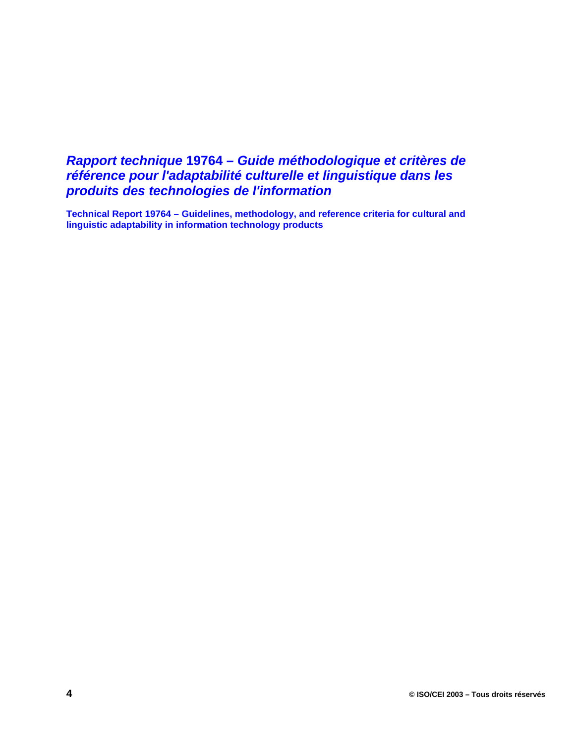## *Rapport technique* **19764** *– Guide méthodologique et critères de référence pour l'adaptabilité culturelle et linguistique dans les produits des technologies de l'information*

**Technical Report 19764 – Guidelines, methodology, and reference criteria for cultural and linguistic adaptability in information technology products**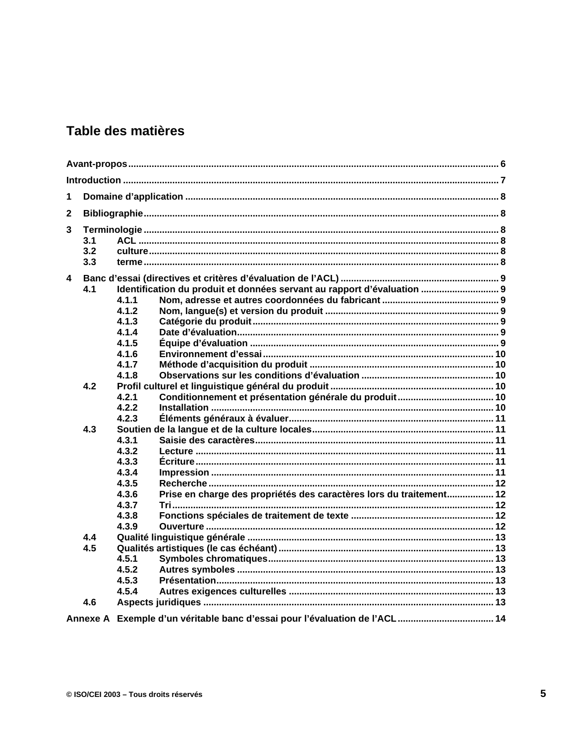## Table des matières

| 1                                                                              |     |                |                                                                            |  |  |  |
|--------------------------------------------------------------------------------|-----|----------------|----------------------------------------------------------------------------|--|--|--|
| $\mathbf{2}$                                                                   |     |                |                                                                            |  |  |  |
| 3                                                                              |     |                |                                                                            |  |  |  |
| 3.1                                                                            |     |                |                                                                            |  |  |  |
|                                                                                | 3.2 |                |                                                                            |  |  |  |
|                                                                                | 3.3 |                |                                                                            |  |  |  |
| 4                                                                              |     |                |                                                                            |  |  |  |
| Identification du produit et données servant au rapport d'évaluation  9<br>4.1 |     |                |                                                                            |  |  |  |
|                                                                                |     | 4.1.1          |                                                                            |  |  |  |
|                                                                                |     | 4.1.2          |                                                                            |  |  |  |
|                                                                                |     | 4.1.3          |                                                                            |  |  |  |
|                                                                                |     | 4.1.4          |                                                                            |  |  |  |
|                                                                                |     | 4.1.5          |                                                                            |  |  |  |
|                                                                                |     | 4.1.6          |                                                                            |  |  |  |
|                                                                                |     | 4.1.7          |                                                                            |  |  |  |
|                                                                                |     | 4.1.8          |                                                                            |  |  |  |
|                                                                                | 4.2 |                |                                                                            |  |  |  |
|                                                                                |     | 4.2.1          |                                                                            |  |  |  |
|                                                                                |     | 4.2.2          |                                                                            |  |  |  |
|                                                                                |     | 4.2.3          |                                                                            |  |  |  |
|                                                                                | 4.3 |                |                                                                            |  |  |  |
|                                                                                |     | 4.3.1          |                                                                            |  |  |  |
|                                                                                |     | 4.3.2          |                                                                            |  |  |  |
|                                                                                |     | 4.3.3          |                                                                            |  |  |  |
|                                                                                |     | 4.3.4          |                                                                            |  |  |  |
|                                                                                |     | 4.3.5          |                                                                            |  |  |  |
|                                                                                |     | 4.3.6<br>4.3.7 | Prise en charge des propriétés des caractères lors du traitement 12        |  |  |  |
|                                                                                |     | 4.3.8          |                                                                            |  |  |  |
|                                                                                |     | 4.3.9          |                                                                            |  |  |  |
|                                                                                | 4.4 |                |                                                                            |  |  |  |
|                                                                                | 4.5 |                |                                                                            |  |  |  |
|                                                                                |     | 4.5.1          |                                                                            |  |  |  |
|                                                                                |     | 4.5.2          |                                                                            |  |  |  |
|                                                                                |     | 4.5.3          |                                                                            |  |  |  |
|                                                                                |     | 4.5.4          |                                                                            |  |  |  |
|                                                                                | 4.6 |                |                                                                            |  |  |  |
|                                                                                |     |                |                                                                            |  |  |  |
|                                                                                |     |                | Annexe A Exemple d'un véritable banc d'essai pour l'évaluation de l'ACL 14 |  |  |  |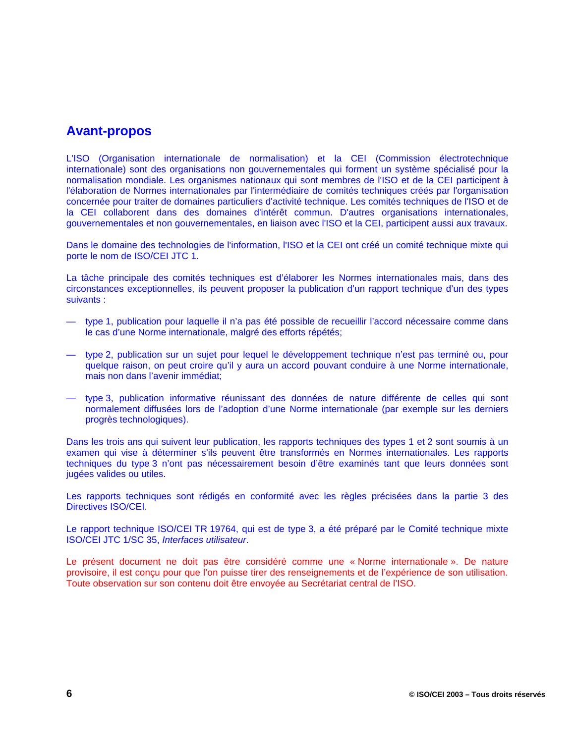## **Avant-propos**

L'ISO (Organisation internationale de normalisation) et la CEI (Commission électrotechnique internationale) sont des organisations non gouvernementales qui forment un système spécialisé pour la normalisation mondiale. Les organismes nationaux qui sont membres de l'ISO et de la CEI participent à l'élaboration de Normes internationales par l'intermédiaire de comités techniques créés par l'organisation concernée pour traiter de domaines particuliers d'activité technique. Les comités techniques de l'ISO et de la CEI collaborent dans des domaines d'intérêt commun. D'autres organisations internationales, gouvernementales et non gouvernementales, en liaison avec l'ISO et la CEI, participent aussi aux travaux.

Dans le domaine des technologies de l'information, l'ISO et la CEI ont créé un comité technique mixte qui porte le nom de ISO/CEI JTC 1.

La tâche principale des comités techniques est d'élaborer les Normes internationales mais, dans des circonstances exceptionnelles, ils peuvent proposer la publication d'un rapport technique d'un des types suivants :

- type 1, publication pour laquelle il n'a pas été possible de recueillir l'accord nécessaire comme dans le cas d'une Norme internationale, malgré des efforts répétés;
- type 2, publication sur un sujet pour lequel le développement technique n'est pas terminé ou, pour quelque raison, on peut croire qu'il y aura un accord pouvant conduire à une Norme internationale, mais non dans l'avenir immédiat;
- type 3, publication informative réunissant des données de nature différente de celles qui sont normalement diffusées lors de l'adoption d'une Norme internationale (par exemple sur les derniers progrès technologiques).

Dans les trois ans qui suivent leur publication, les rapports techniques des types 1 et 2 sont soumis à un examen qui vise à déterminer s'ils peuvent être transformés en Normes internationales. Les rapports techniques du type 3 n'ont pas nécessairement besoin d'être examinés tant que leurs données sont jugées valides ou utiles.

Les rapports techniques sont rédigés en conformité avec les règles précisées dans la partie 3 des Directives ISO/CEI.

Le rapport technique ISO/CEI TR 19764, qui est de type 3, a été préparé par le Comité technique mixte ISO/CEI JTC 1/SC 35, *Interfaces utilisateur*.

Le présent document ne doit pas être considéré comme une « Norme internationale ». De nature provisoire, il est conçu pour que l'on puisse tirer des renseignements et de l'expérience de son utilisation. Toute observation sur son contenu doit être envoyée au Secrétariat central de l'ISO.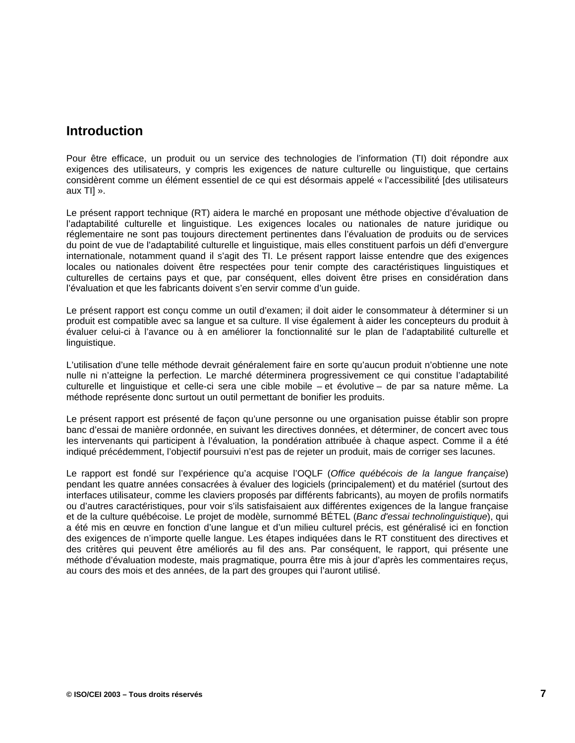## **Introduction**

Pour être efficace, un produit ou un service des technologies de l'information (TI) doit répondre aux exigences des utilisateurs, y compris les exigences de nature culturelle ou linguistique, que certains considèrent comme un élément essentiel de ce qui est désormais appelé « l'accessibilité [des utilisateurs aux TI] ».

Le présent rapport technique (RT) aidera le marché en proposant une méthode objective d'évaluation de l'adaptabilité culturelle et linguistique. Les exigences locales ou nationales de nature juridique ou réglementaire ne sont pas toujours directement pertinentes dans l'évaluation de produits ou de services du point de vue de l'adaptabilité culturelle et linguistique, mais elles constituent parfois un défi d'envergure internationale, notamment quand il s'agit des TI. Le présent rapport laisse entendre que des exigences locales ou nationales doivent être respectées pour tenir compte des caractéristiques linguistiques et culturelles de certains pays et que, par conséquent, elles doivent être prises en considération dans l'évaluation et que les fabricants doivent s'en servir comme d'un guide.

Le présent rapport est conçu comme un outil d'examen; il doit aider le consommateur à déterminer si un produit est compatible avec sa langue et sa culture. Il vise également à aider les concepteurs du produit à évaluer celui-ci à l'avance ou à en améliorer la fonctionnalité sur le plan de l'adaptabilité culturelle et linguistique.

L'utilisation d'une telle méthode devrait généralement faire en sorte qu'aucun produit n'obtienne une note nulle ni n'atteigne la perfection. Le marché déterminera progressivement ce qui constitue l'adaptabilité culturelle et linguistique et celle-ci sera une cible mobile – et évolutive – de par sa nature même. La méthode représente donc surtout un outil permettant de bonifier les produits.

Le présent rapport est présenté de façon qu'une personne ou une organisation puisse établir son propre banc d'essai de manière ordonnée, en suivant les directives données, et déterminer, de concert avec tous les intervenants qui participent à l'évaluation, la pondération attribuée à chaque aspect. Comme il a été indiqué précédemment, l'objectif poursuivi n'est pas de rejeter un produit, mais de corriger ses lacunes.

Le rapport est fondé sur l'expérience qu'a acquise l'OQLF (*Office québécois de la langue française*) pendant les quatre années consacrées à évaluer des logiciels (principalement) et du matériel (surtout des interfaces utilisateur, comme les claviers proposés par différents fabricants), au moyen de profils normatifs ou d'autres caractéristiques, pour voir s'ils satisfaisaient aux différentes exigences de la langue française et de la culture québécoise. Le projet de modèle, surnommé BÉTEL (*Banc d'essai technolinguistique*), qui a été mis en œuvre en fonction d'une langue et d'un milieu culturel précis, est généralisé ici en fonction des exigences de n'importe quelle langue. Les étapes indiquées dans le RT constituent des directives et des critères qui peuvent être améliorés au fil des ans. Par conséquent, le rapport, qui présente une méthode d'évaluation modeste, mais pragmatique, pourra être mis à jour d'après les commentaires reçus, au cours des mois et des années, de la part des groupes qui l'auront utilisé.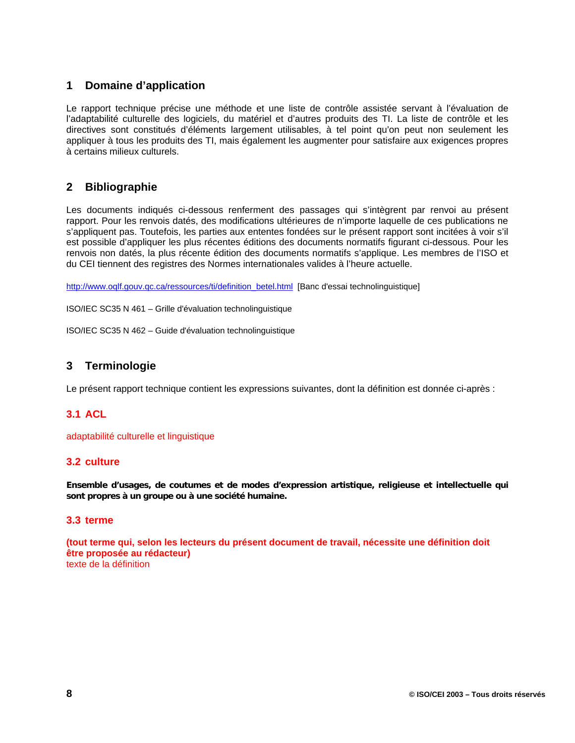## **1 Domaine d'application**

Le rapport technique précise une méthode et une liste de contrôle assistée servant à l'évaluation de l'adaptabilité culturelle des logiciels, du matériel et d'autres produits des TI. La liste de contrôle et les directives sont constitués d'éléments largement utilisables, à tel point qu'on peut non seulement les appliquer à tous les produits des TI, mais également les augmenter pour satisfaire aux exigences propres à certains milieux culturels.

## **2 Bibliographie**

Les documents indiqués ci-dessous renferment des passages qui s'intègrent par renvoi au présent rapport. Pour les renvois datés, des modifications ultérieures de n'importe laquelle de ces publications ne s'appliquent pas. Toutefois, les parties aux ententes fondées sur le présent rapport sont incitées à voir s'il est possible d'appliquer les plus récentes éditions des documents normatifs figurant ci-dessous. Pour les renvois non datés, la plus récente édition des documents normatifs s'applique. Les membres de l'ISO et du CEI tiennent des registres des Normes internationales valides à l'heure actuelle.

http://www.oqlf.gouv.qc.ca/ressources/ti/definition\_betel.html [Banc d'essai technolinguistique]

ISO/IEC SC35 N 461 – Grille d'évaluation technolinguistique

ISO/IEC SC35 N 462 – Guide d'évaluation technolinguistique

## **3 Terminologie**

Le présent rapport technique contient les expressions suivantes, dont la définition est donnée ci-après :

### **3.1 ACL**

adaptabilité culturelle et linguistique

#### **3.2 culture**

**Ensemble d'usages, de coutumes et de modes d'expression artistique, religieuse et intellectuelle qui sont propres à un groupe ou à une société humaine.**

#### **3.3 terme**

**(tout terme qui, selon les lecteurs du présent document de travail, nécessite une définition doit être proposée au rédacteur)** texte de la définition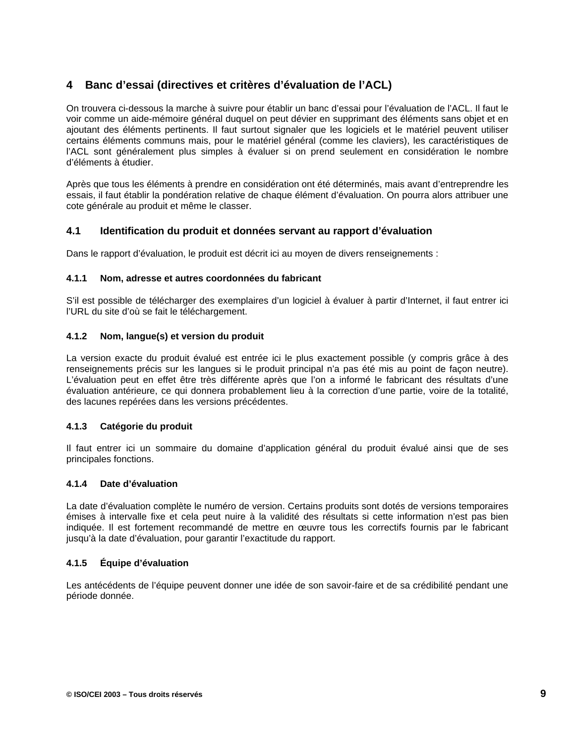## **4 Banc d'essai (directives et critères d'évaluation de l'ACL)**

On trouvera ci-dessous la marche à suivre pour établir un banc d'essai pour l'évaluation de l'ACL. Il faut le voir comme un aide-mémoire général duquel on peut dévier en supprimant des éléments sans objet et en ajoutant des éléments pertinents. Il faut surtout signaler que les logiciels et le matériel peuvent utiliser certains éléments communs mais, pour le matériel général (comme les claviers), les caractéristiques de l'ACL sont généralement plus simples à évaluer si on prend seulement en considération le nombre d'éléments à étudier.

Après que tous les éléments à prendre en considération ont été déterminés, mais avant d'entreprendre les essais, il faut établir la pondération relative de chaque élément d'évaluation. On pourra alors attribuer une cote générale au produit et même le classer.

#### **4.1 Identification du produit et données servant au rapport d'évaluation**

Dans le rapport d'évaluation, le produit est décrit ici au moyen de divers renseignements :

#### **4.1.1 Nom, adresse et autres coordonnées du fabricant**

S'il est possible de télécharger des exemplaires d'un logiciel à évaluer à partir d'Internet, il faut entrer ici l'URL du site d'où se fait le téléchargement.

#### **4.1.2 Nom, langue(s) et version du produit**

La version exacte du produit évalué est entrée ici le plus exactement possible (y compris grâce à des renseignements précis sur les langues si le produit principal n'a pas été mis au point de façon neutre). L'évaluation peut en effet être très différente après que l'on a informé le fabricant des résultats d'une évaluation antérieure, ce qui donnera probablement lieu à la correction d'une partie, voire de la totalité, des lacunes repérées dans les versions précédentes.

#### **4.1.3 Catégorie du produit**

Il faut entrer ici un sommaire du domaine d'application général du produit évalué ainsi que de ses principales fonctions.

#### **4.1.4 Date d'évaluation**

La date d'évaluation complète le numéro de version. Certains produits sont dotés de versions temporaires émises à intervalle fixe et cela peut nuire à la validité des résultats si cette information n'est pas bien indiquée. Il est fortement recommandé de mettre en œuvre tous les correctifs fournis par le fabricant jusqu'à la date d'évaluation, pour garantir l'exactitude du rapport.

#### **4.1.5 Équipe d'évaluation**

Les antécédents de l'équipe peuvent donner une idée de son savoir-faire et de sa crédibilité pendant une période donnée.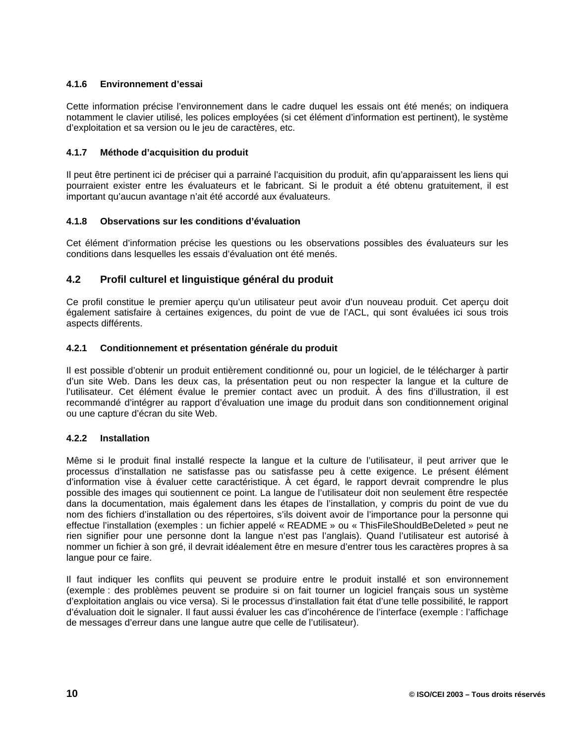#### **4.1.6 Environnement d'essai**

Cette information précise l'environnement dans le cadre duquel les essais ont été menés; on indiquera notamment le clavier utilisé, les polices employées (si cet élément d'information est pertinent), le système d'exploitation et sa version ou le jeu de caractères, etc.

#### **4.1.7 Méthode d'acquisition du produit**

Il peut être pertinent ici de préciser qui a parrainé l'acquisition du produit, afin qu'apparaissent les liens qui pourraient exister entre les évaluateurs et le fabricant. Si le produit a été obtenu gratuitement, il est important qu'aucun avantage n'ait été accordé aux évaluateurs.

#### **4.1.8 Observations sur les conditions d'évaluation**

Cet élément d'information précise les questions ou les observations possibles des évaluateurs sur les conditions dans lesquelles les essais d'évaluation ont été menés.

### **4.2 Profil culturel et linguistique général du produit**

Ce profil constitue le premier aperçu qu'un utilisateur peut avoir d'un nouveau produit. Cet aperçu doit également satisfaire à certaines exigences, du point de vue de l'ACL, qui sont évaluées ici sous trois aspects différents.

#### **4.2.1 Conditionnement et présentation générale du produit**

Il est possible d'obtenir un produit entièrement conditionné ou, pour un logiciel, de le télécharger à partir d'un site Web. Dans les deux cas, la présentation peut ou non respecter la langue et la culture de l'utilisateur. Cet élément évalue le premier contact avec un produit. À des fins d'illustration, il est recommandé d'intégrer au rapport d'évaluation une image du produit dans son conditionnement original ou une capture d'écran du site Web.

#### **4.2.2 Installation**

Même si le produit final installé respecte la langue et la culture de l'utilisateur, il peut arriver que le processus d'installation ne satisfasse pas ou satisfasse peu à cette exigence. Le présent élément d'information vise à évaluer cette caractéristique. À cet égard, le rapport devrait comprendre le plus possible des images qui soutiennent ce point. La langue de l'utilisateur doit non seulement être respectée dans la documentation, mais également dans les étapes de l'installation, y compris du point de vue du nom des fichiers d'installation ou des répertoires, s'ils doivent avoir de l'importance pour la personne qui effectue l'installation (exemples : un fichier appelé « README » ou « ThisFileShouldBeDeleted » peut ne rien signifier pour une personne dont la langue n'est pas l'anglais). Quand l'utilisateur est autorisé à nommer un fichier à son gré, il devrait idéalement être en mesure d'entrer tous les caractères propres à sa langue pour ce faire.

Il faut indiquer les conflits qui peuvent se produire entre le produit installé et son environnement (exemple : des problèmes peuvent se produire si on fait tourner un logiciel français sous un système d'exploitation anglais ou vice versa). Si le processus d'installation fait état d'une telle possibilité, le rapport d'évaluation doit le signaler. Il faut aussi évaluer les cas d'incohérence de l'interface (exemple : l'affichage de messages d'erreur dans une langue autre que celle de l'utilisateur).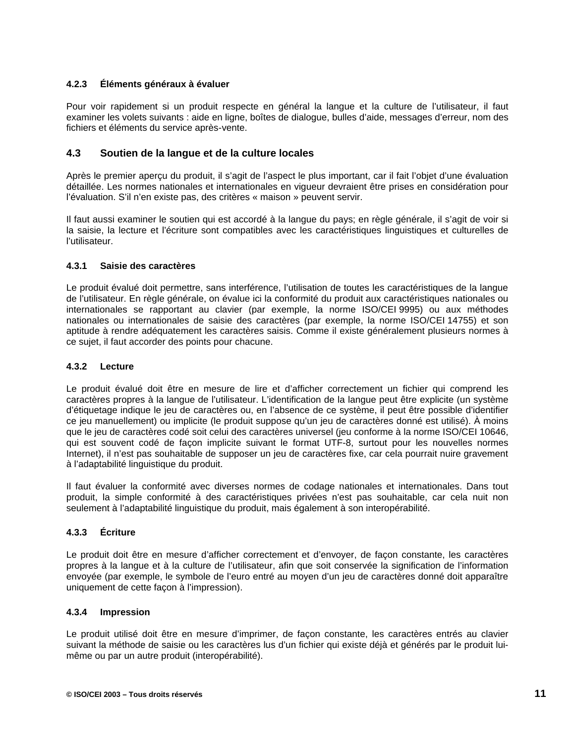#### **4.2.3 Éléments généraux à évaluer**

Pour voir rapidement si un produit respecte en général la langue et la culture de l'utilisateur, il faut examiner les volets suivants : aide en ligne, boîtes de dialogue, bulles d'aide, messages d'erreur, nom des fichiers et éléments du service après-vente.

#### **4.3 Soutien de la langue et de la culture locales**

Après le premier aperçu du produit, il s'agit de l'aspect le plus important, car il fait l'objet d'une évaluation détaillée. Les normes nationales et internationales en vigueur devraient être prises en considération pour l'évaluation. S'il n'en existe pas, des critères « maison » peuvent servir.

Il faut aussi examiner le soutien qui est accordé à la langue du pays; en règle générale, il s'agit de voir si la saisie, la lecture et l'écriture sont compatibles avec les caractéristiques linguistiques et culturelles de l'utilisateur.

#### **4.3.1 Saisie des caractères**

Le produit évalué doit permettre, sans interférence, l'utilisation de toutes les caractéristiques de la langue de l'utilisateur. En règle générale, on évalue ici la conformité du produit aux caractéristiques nationales ou internationales se rapportant au clavier (par exemple, la norme ISO/CEI 9995) ou aux méthodes nationales ou internationales de saisie des caractères (par exemple, la norme ISO/CEI 14755) et son aptitude à rendre adéquatement les caractères saisis. Comme il existe généralement plusieurs normes à ce sujet, il faut accorder des points pour chacune.

#### **4.3.2 Lecture**

Le produit évalué doit être en mesure de lire et d'afficher correctement un fichier qui comprend les caractères propres à la langue de l'utilisateur. L'identification de la langue peut être explicite (un système d'étiquetage indique le jeu de caractères ou, en l'absence de ce système, il peut être possible d'identifier ce jeu manuellement) ou implicite (le produit suppose qu'un jeu de caractères donné est utilisé). À moins que le jeu de caractères codé soit celui des caractères universel (jeu conforme à la norme ISO/CEI 10646, qui est souvent codé de façon implicite suivant le format UTF-8, surtout pour les nouvelles normes Internet), il n'est pas souhaitable de supposer un jeu de caractères fixe, car cela pourrait nuire gravement à l'adaptabilité linguistique du produit.

Il faut évaluer la conformité avec diverses normes de codage nationales et internationales. Dans tout produit, la simple conformité à des caractéristiques privées n'est pas souhaitable, car cela nuit non seulement à l'adaptabilité linguistique du produit, mais également à son interopérabilité.

#### **4.3.3 Écriture**

Le produit doit être en mesure d'afficher correctement et d'envoyer, de façon constante, les caractères propres à la langue et à la culture de l'utilisateur, afin que soit conservée la signification de l'information envoyée (par exemple, le symbole de l'euro entré au moyen d'un jeu de caractères donné doit apparaître uniquement de cette façon à l'impression).

#### **4.3.4 Impression**

Le produit utilisé doit être en mesure d'imprimer, de façon constante, les caractères entrés au clavier suivant la méthode de saisie ou les caractères lus d'un fichier qui existe déjà et générés par le produit luimême ou par un autre produit (interopérabilité).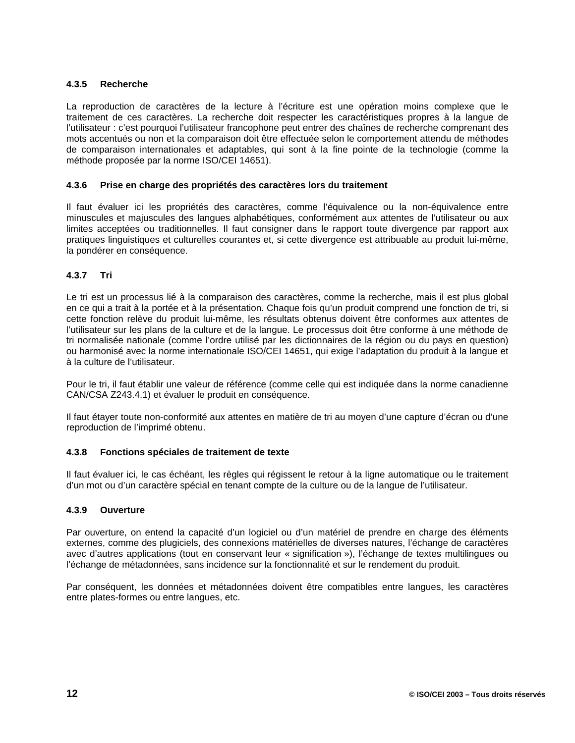#### **4.3.5 Recherche**

La reproduction de caractères de la lecture à l'écriture est une opération moins complexe que le traitement de ces caractères. La recherche doit respecter les caractéristiques propres à la langue de l'utilisateur : c'est pourquoi l'utilisateur francophone peut entrer des chaînes de recherche comprenant des mots accentués ou non et la comparaison doit être effectuée selon le comportement attendu de méthodes de comparaison internationales et adaptables, qui sont à la fine pointe de la technologie (comme la méthode proposée par la norme ISO/CEI 14651).

#### **4.3.6 Prise en charge des propriétés des caractères lors du traitement**

Il faut évaluer ici les propriétés des caractères, comme l'équivalence ou la non-équivalence entre minuscules et majuscules des langues alphabétiques, conformément aux attentes de l'utilisateur ou aux limites acceptées ou traditionnelles. Il faut consigner dans le rapport toute divergence par rapport aux pratiques linguistiques et culturelles courantes et, si cette divergence est attribuable au produit lui-même, la pondérer en conséquence.

#### **4.3.7 Tri**

Le tri est un processus lié à la comparaison des caractères, comme la recherche, mais il est plus global en ce qui a trait à la portée et à la présentation. Chaque fois qu'un produit comprend une fonction de tri, si cette fonction relève du produit lui-même, les résultats obtenus doivent être conformes aux attentes de l'utilisateur sur les plans de la culture et de la langue. Le processus doit être conforme à une méthode de tri normalisée nationale (comme l'ordre utilisé par les dictionnaires de la région ou du pays en question) ou harmonisé avec la norme internationale ISO/CEI 14651, qui exige l'adaptation du produit à la langue et à la culture de l'utilisateur.

Pour le tri, il faut établir une valeur de référence (comme celle qui est indiquée dans la norme canadienne CAN/CSA Z243.4.1) et évaluer le produit en conséquence.

Il faut étayer toute non-conformité aux attentes en matière de tri au moyen d'une capture d'écran ou d'une reproduction de l'imprimé obtenu.

#### **4.3.8 Fonctions spéciales de traitement de texte**

Il faut évaluer ici, le cas échéant, les règles qui régissent le retour à la ligne automatique ou le traitement d'un mot ou d'un caractère spécial en tenant compte de la culture ou de la langue de l'utilisateur.

#### **4.3.9 Ouverture**

Par ouverture, on entend la capacité d'un logiciel ou d'un matériel de prendre en charge des éléments externes, comme des plugiciels, des connexions matérielles de diverses natures, l'échange de caractères avec d'autres applications (tout en conservant leur « signification »), l'échange de textes multilingues ou l'échange de métadonnées, sans incidence sur la fonctionnalité et sur le rendement du produit.

Par conséquent, les données et métadonnées doivent être compatibles entre langues, les caractères entre plates-formes ou entre langues, etc.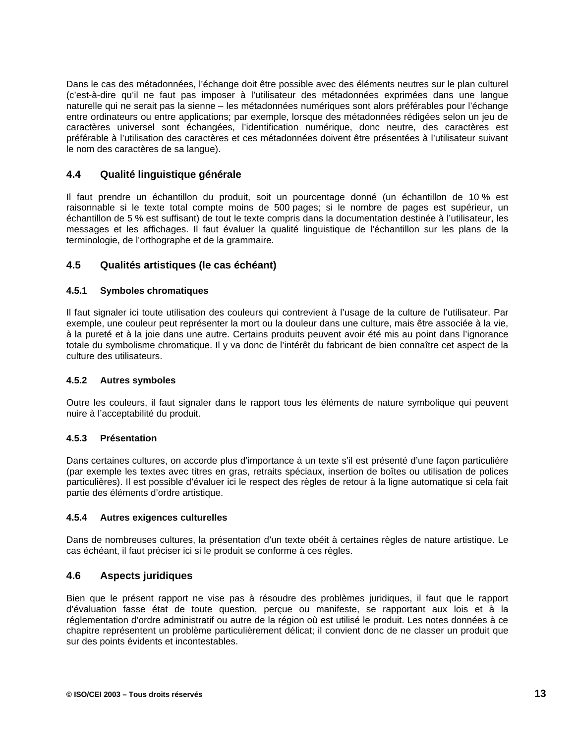Dans le cas des métadonnées, l'échange doit être possible avec des éléments neutres sur le plan culturel (c'est-à-dire qu'il ne faut pas imposer à l'utilisateur des métadonnées exprimées dans une langue naturelle qui ne serait pas la sienne – les métadonnées numériques sont alors préférables pour l'échange entre ordinateurs ou entre applications; par exemple, lorsque des métadonnées rédigées selon un jeu de caractères universel sont échangées, l'identification numérique, donc neutre, des caractères est préférable à l'utilisation des caractères et ces métadonnées doivent être présentées à l'utilisateur suivant le nom des caractères de sa langue).

#### **4.4 Qualité linguistique générale**

Il faut prendre un échantillon du produit, soit un pourcentage donné (un échantillon de 10 % est raisonnable si le texte total compte moins de 500 pages; si le nombre de pages est supérieur, un échantillon de 5 % est suffisant) de tout le texte compris dans la documentation destinée à l'utilisateur, les messages et les affichages. Il faut évaluer la qualité linguistique de l'échantillon sur les plans de la terminologie, de l'orthographe et de la grammaire.

### **4.5 Qualités artistiques (le cas échéant)**

#### **4.5.1 Symboles chromatiques**

Il faut signaler ici toute utilisation des couleurs qui contrevient à l'usage de la culture de l'utilisateur. Par exemple, une couleur peut représenter la mort ou la douleur dans une culture, mais être associée à la vie, à la pureté et à la joie dans une autre. Certains produits peuvent avoir été mis au point dans l'ignorance totale du symbolisme chromatique. Il y va donc de l'intérêt du fabricant de bien connaître cet aspect de la culture des utilisateurs.

#### **4.5.2 Autres symboles**

Outre les couleurs, il faut signaler dans le rapport tous les éléments de nature symbolique qui peuvent nuire à l'acceptabilité du produit.

#### **4.5.3 Présentation**

Dans certaines cultures, on accorde plus d'importance à un texte s'il est présenté d'une façon particulière (par exemple les textes avec titres en gras, retraits spéciaux, insertion de boîtes ou utilisation de polices particulières). Il est possible d'évaluer ici le respect des règles de retour à la ligne automatique si cela fait partie des éléments d'ordre artistique.

#### **4.5.4 Autres exigences culturelles**

Dans de nombreuses cultures, la présentation d'un texte obéit à certaines règles de nature artistique. Le cas échéant, il faut préciser ici si le produit se conforme à ces règles.

#### **4.6 Aspects juridiques**

Bien que le présent rapport ne vise pas à résoudre des problèmes juridiques, il faut que le rapport d'évaluation fasse état de toute question, perçue ou manifeste, se rapportant aux lois et à la réglementation d'ordre administratif ou autre de la région où est utilisé le produit. Les notes données à ce chapitre représentent un problème particulièrement délicat; il convient donc de ne classer un produit que sur des points évidents et incontestables.